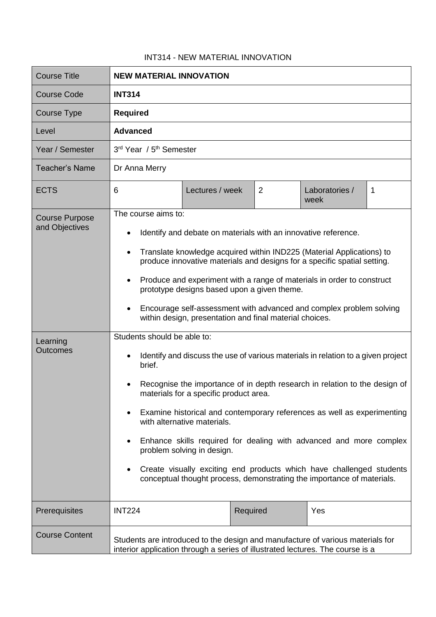## INT314 - NEW MATERIAL INNOVATION

| <b>Course Title</b>                                                    | <b>NEW MATERIAL INNOVATION</b>                                                                                                                                                                                                                                                                                                                                                                                                                                                                                                                                                                                                                                                                                                                                                                                                                                                                                                                                                                                                                                                                                                                                         |                 |   |                        |   |  |
|------------------------------------------------------------------------|------------------------------------------------------------------------------------------------------------------------------------------------------------------------------------------------------------------------------------------------------------------------------------------------------------------------------------------------------------------------------------------------------------------------------------------------------------------------------------------------------------------------------------------------------------------------------------------------------------------------------------------------------------------------------------------------------------------------------------------------------------------------------------------------------------------------------------------------------------------------------------------------------------------------------------------------------------------------------------------------------------------------------------------------------------------------------------------------------------------------------------------------------------------------|-----------------|---|------------------------|---|--|
| Course Code                                                            | <b>INT314</b>                                                                                                                                                                                                                                                                                                                                                                                                                                                                                                                                                                                                                                                                                                                                                                                                                                                                                                                                                                                                                                                                                                                                                          |                 |   |                        |   |  |
| Course Type                                                            | <b>Required</b>                                                                                                                                                                                                                                                                                                                                                                                                                                                                                                                                                                                                                                                                                                                                                                                                                                                                                                                                                                                                                                                                                                                                                        |                 |   |                        |   |  |
| Level                                                                  | <b>Advanced</b>                                                                                                                                                                                                                                                                                                                                                                                                                                                                                                                                                                                                                                                                                                                                                                                                                                                                                                                                                                                                                                                                                                                                                        |                 |   |                        |   |  |
| Year / Semester                                                        | 3rd Year / 5 <sup>th</sup> Semester                                                                                                                                                                                                                                                                                                                                                                                                                                                                                                                                                                                                                                                                                                                                                                                                                                                                                                                                                                                                                                                                                                                                    |                 |   |                        |   |  |
| <b>Teacher's Name</b>                                                  | Dr Anna Merry                                                                                                                                                                                                                                                                                                                                                                                                                                                                                                                                                                                                                                                                                                                                                                                                                                                                                                                                                                                                                                                                                                                                                          |                 |   |                        |   |  |
| <b>ECTS</b>                                                            | 6                                                                                                                                                                                                                                                                                                                                                                                                                                                                                                                                                                                                                                                                                                                                                                                                                                                                                                                                                                                                                                                                                                                                                                      | Lectures / week | 2 | Laboratories /<br>week | 1 |  |
| <b>Course Purpose</b><br>and Objectives<br>Learning<br><b>Outcomes</b> | The course aims to:<br>Identify and debate on materials with an innovative reference.<br>٠<br>Translate knowledge acquired within IND225 (Material Applications) to<br>produce innovative materials and designs for a specific spatial setting.<br>Produce and experiment with a range of materials in order to construct<br>$\bullet$<br>prototype designs based upon a given theme.<br>Encourage self-assessment with advanced and complex problem solving<br>$\bullet$<br>within design, presentation and final material choices.<br>Students should be able to:<br>Identify and discuss the use of various materials in relation to a given project<br>$\bullet$<br>brief.<br>Recognise the importance of in depth research in relation to the design of<br>materials for a specific product area.<br>Examine historical and contemporary references as well as experimenting<br>with alternative materials.<br>Enhance skills required for dealing with advanced and more complex<br>problem solving in design.<br>Create visually exciting end products which have challenged students<br>conceptual thought process, demonstrating the importance of materials. |                 |   |                        |   |  |
| Prerequisites                                                          | <b>INT224</b>                                                                                                                                                                                                                                                                                                                                                                                                                                                                                                                                                                                                                                                                                                                                                                                                                                                                                                                                                                                                                                                                                                                                                          | Required        |   | Yes                    |   |  |
| <b>Course Content</b>                                                  | Students are introduced to the design and manufacture of various materials for<br>interior application through a series of illustrated lectures. The course is a                                                                                                                                                                                                                                                                                                                                                                                                                                                                                                                                                                                                                                                                                                                                                                                                                                                                                                                                                                                                       |                 |   |                        |   |  |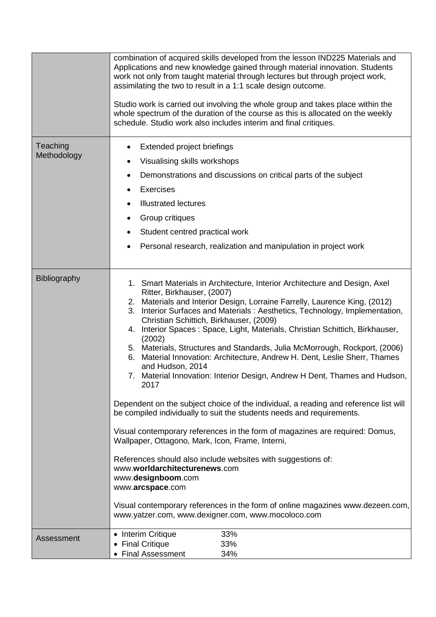|                         | combination of acquired skills developed from the lesson IND225 Materials and<br>Applications and new knowledge gained through material innovation. Students<br>work not only from taught material through lectures but through project work,<br>assimilating the two to result in a 1:1 scale design outcome.<br>Studio work is carried out involving the whole group and takes place within the<br>whole spectrum of the duration of the course as this is allocated on the weekly<br>schedule. Studio work also includes interim and final critiques.                                                                                                                                                                                                                                                                                                                                                                                                                                                                                                                                                                                                                                                                                                                         |  |  |  |
|-------------------------|----------------------------------------------------------------------------------------------------------------------------------------------------------------------------------------------------------------------------------------------------------------------------------------------------------------------------------------------------------------------------------------------------------------------------------------------------------------------------------------------------------------------------------------------------------------------------------------------------------------------------------------------------------------------------------------------------------------------------------------------------------------------------------------------------------------------------------------------------------------------------------------------------------------------------------------------------------------------------------------------------------------------------------------------------------------------------------------------------------------------------------------------------------------------------------------------------------------------------------------------------------------------------------|--|--|--|
| Teaching<br>Methodology | Extended project briefings<br>Visualising skills workshops<br>Demonstrations and discussions on critical parts of the subject<br>٠<br><b>Exercises</b><br><b>Illustrated lectures</b><br>Group critiques<br>Student centred practical work<br>Personal research, realization and manipulation in project work<br>$\bullet$                                                                                                                                                                                                                                                                                                                                                                                                                                                                                                                                                                                                                                                                                                                                                                                                                                                                                                                                                       |  |  |  |
| Bibliography            | 1. Smart Materials in Architecture, Interior Architecture and Design, Axel<br>Ritter, Birkhauser, (2007)<br>2. Materials and Interior Design, Lorraine Farrelly, Laurence King, (2012)<br>Interior Surfaces and Materials : Aesthetics, Technology, Implementation,<br>3.<br>Christian Schittich, Birkhauser, (2009)<br>Interior Spaces: Space, Light, Materials, Christian Schittich, Birkhauser,<br>4.<br>(2002)<br>5. Materials, Structures and Standards, Julia McMorrough, Rockport, (2006)<br>6. Material Innovation: Architecture, Andrew H. Dent, Leslie Sherr, Thames<br>and Hudson, 2014<br>7. Material Innovation: Interior Design, Andrew H Dent, Thames and Hudson,<br>2017<br>Dependent on the subject choice of the individual, a reading and reference list will<br>be compiled individually to suit the students needs and requirements.<br>Visual contemporary references in the form of magazines are required: Domus,<br>Wallpaper, Ottagono, Mark, Icon, Frame, Interni,<br>References should also include websites with suggestions of:<br>www.worldarchitecturenews.com<br>www.designboom.com<br>www.arcspace.com<br>Visual contemporary references in the form of online magazines www.dezeen.com,<br>www.yatzer.com, www.dexigner.com, www.mocoloco.com |  |  |  |
| Assessment              | 33%<br>• Interim Critique<br>• Final Critique<br>33%<br>• Final Assessment<br>34%                                                                                                                                                                                                                                                                                                                                                                                                                                                                                                                                                                                                                                                                                                                                                                                                                                                                                                                                                                                                                                                                                                                                                                                                |  |  |  |